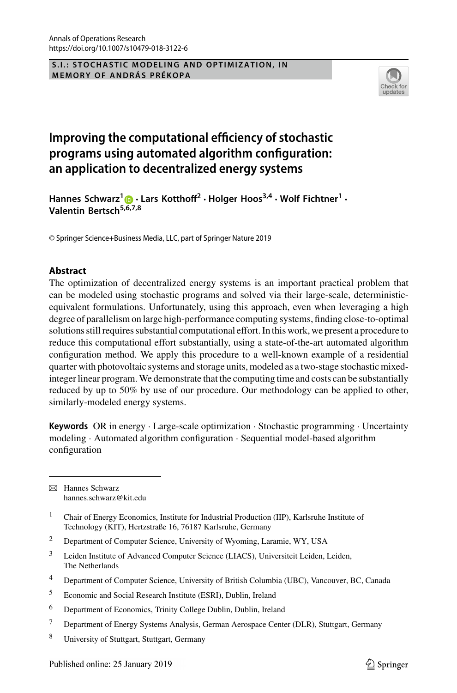#### S.I.: STOCHASTIC MODELING AND OPTIMIZATION, IN **MEMORY OF ANDRÁS PRÉKOPA**



# **Improving the computational efficiency of stochastic programs using automated algorithm configuration: an application to decentralized energy systems**

**Hannes Schwarz[1](http://orcid.org/0000-0002-1708-8948) · Lars Kotthoff2 · Holger Hoos3,4 · Wolf Fichtner1 · Valentin Bertsch5,6,7,8**

© Springer Science+Business Media, LLC, part of Springer Nature 2019

## **Abstract**

The optimization of decentralized energy systems is an important practical problem that can be modeled using stochastic programs and solved via their large-scale, deterministicequivalent formulations. Unfortunately, using this approach, even when leveraging a high degree of parallelism on large high-performance computing systems, finding close-to-optimal solutions still requires substantial computational effort. In this work, we present a procedure to reduce this computational effort substantially, using a state-of-the-art automated algorithm configuration method. We apply this procedure to a well-known example of a residential quarter with photovoltaic systems and storage units, modeled as a two-stage stochastic mixedinteger linear program. We demonstrate that the computing time and costs can be substantially reduced by up to 50% by use of our procedure. Our methodology can be applied to other, similarly-modeled energy systems.

**Keywords** OR in energy · Large-scale optimization · Stochastic programming · Uncertainty modeling · Automated algorithm configuration · Sequential model-based algorithm configuration

 $\boxtimes$  Hannes Schwarz hannes.schwarz@kit.edu

- <sup>2</sup> Department of Computer Science, University of Wyoming, Laramie, WY, USA
- <sup>3</sup> Leiden Institute of Advanced Computer Science (LIACS), Universiteit Leiden, Leiden, The Netherlands
- <sup>4</sup> Department of Computer Science, University of British Columbia (UBC), Vancouver, BC, Canada
- <sup>5</sup> Economic and Social Research Institute (ESRI), Dublin, Ireland
- <sup>6</sup> Department of Economics, Trinity College Dublin, Dublin, Ireland
- <sup>7</sup> Department of Energy Systems Analysis, German Aerospace Center (DLR), Stuttgart, Germany
- <sup>8</sup> University of Stuttgart, Stuttgart, Germany

<sup>1</sup> Chair of Energy Economics, Institute for Industrial Production (IIP), Karlsruhe Institute of Technology (KIT), Hertzstraße 16, 76187 Karlsruhe, Germany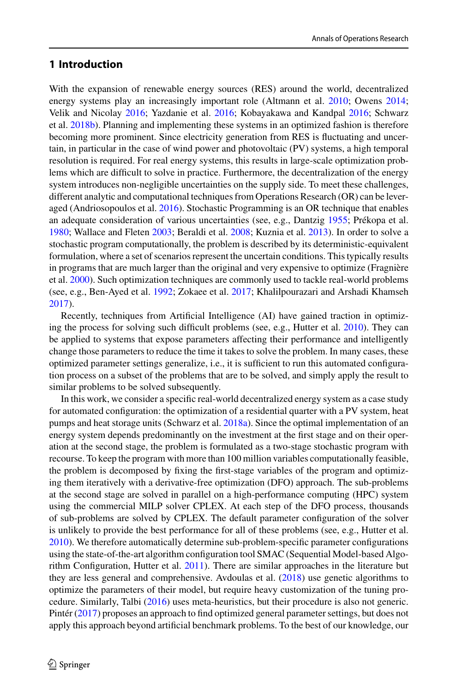## **1 Introduction**

With the expansion of renewable energy sources (RES) around the world, decentralized energy systems play an increasingly important role (Altmann et al. [2010;](#page-20-0) Owens [2014;](#page-21-0) Velik and Nicolay [2016;](#page-21-1) Yazdanie et al. [2016;](#page-21-2) Kobayakawa and Kandpal [2016;](#page-20-1) Schwarz et al. [2018b\)](#page-21-3). Planning and implementing these systems in an optimized fashion is therefore becoming more prominent. Since electricity generation from RES is fluctuating and uncertain, in particular in the case of wind power and photovoltaic (PV) systems, a high temporal resolution is required. For real energy systems, this results in large-scale optimization problems which are difficult to solve in practice. Furthermore, the decentralization of the energy system introduces non-negligible uncertainties on the supply side. To meet these challenges, different analytic and computational techniques from Operations Research (OR) can be leveraged (Andriosopoulos et al. [2016\)](#page-20-2). Stochastic Programming is an OR technique that enables an adequate consideration of various uncertainties (see, e.g., Dantzig [1955;](#page-20-3) Prékopa et al. [1980;](#page-21-4) Wallace and Fleten [2003;](#page-21-5) Beraldi et al. [2008;](#page-20-4) Kuznia et al. [2013\)](#page-20-5). In order to solve a stochastic program computationally, the problem is described by its deterministic-equivalent formulation, where a set of scenarios represent the uncertain conditions. This typically results in programs that are much larger than the original and very expensive to optimize (Fragnière et al. [2000\)](#page-20-6). Such optimization techniques are commonly used to tackle real-world problems (see, e.g., Ben-Ayed et al. [1992;](#page-20-7) Zokaee et al. [2017;](#page-21-6) Khalilpourazari and Arshadi Khamseh [2017\)](#page-20-8).

Recently, techniques from Artificial Intelligence (AI) have gained traction in optimiz-ing the process for solving such difficult problems (see, e.g., Hutter et al. [2010\)](#page-20-9). They can be applied to systems that expose parameters affecting their performance and intelligently change those parameters to reduce the time it takes to solve the problem. In many cases, these optimized parameter settings generalize, i.e., it is sufficient to run this automated configuration process on a subset of the problems that are to be solved, and simply apply the result to similar problems to be solved subsequently.

In this work, we consider a specific real-world decentralized energy system as a case study for automated configuration: the optimization of a residential quarter with a PV system, heat pumps and heat storage units (Schwarz et al. [2018a\)](#page-21-7). Since the optimal implementation of an energy system depends predominantly on the investment at the first stage and on their operation at the second stage, the problem is formulated as a two-stage stochastic program with recourse. To keep the program with more than 100 million variables computationally feasible, the problem is decomposed by fixing the first-stage variables of the program and optimizing them iteratively with a derivative-free optimization (DFO) approach. The sub-problems at the second stage are solved in parallel on a high-performance computing (HPC) system using the commercial MILP solver CPLEX. At each step of the DFO process, thousands of sub-problems are solved by CPLEX. The default parameter configuration of the solver is unlikely to provide the best performance for all of these problems (see, e.g., Hutter et al. [2010\)](#page-20-9). We therefore automatically determine sub-problem-specific parameter configurations using the state-of-the-art algorithm configuration tool SMAC (Sequential Model-based Algorithm Configuration, Hutter et al. [2011\)](#page-20-10). There are similar approaches in the literature but they are less general and comprehensive. Avdoulas et al. [\(2018\)](#page-20-11) use genetic algorithms to optimize the parameters of their model, but require heavy customization of the tuning procedure. Similarly, Talbi [\(2016\)](#page-21-8) uses meta-heuristics, but their procedure is also not generic. Pintér [\(2017\)](#page-21-9) proposes an approach to find optimized general parameter settings, but does not apply this approach beyond artificial benchmark problems. To the best of our knowledge, our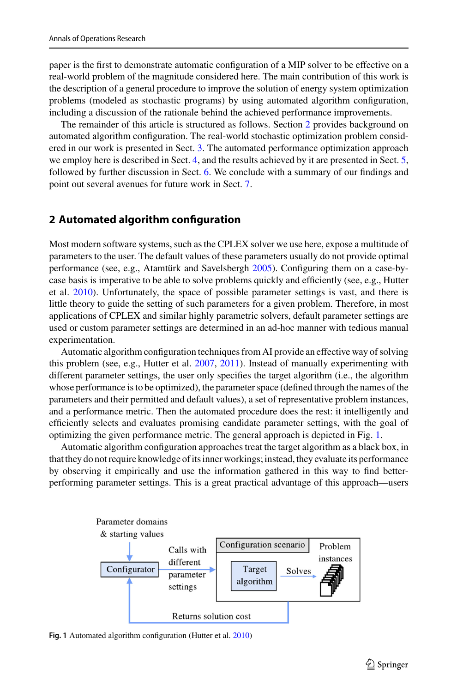paper is the first to demonstrate automatic configuration of a MIP solver to be effective on a real-world problem of the magnitude considered here. The main contribution of this work is the description of a general procedure to improve the solution of energy system optimization problems (modeled as stochastic programs) by using automated algorithm configuration, including a discussion of the rationale behind the achieved performance improvements.

The remainder of this article is structured as follows. Section [2](#page-2-0) provides background on automated algorithm configuration. The real-world stochastic optimization problem considered in our work is presented in Sect. [3.](#page-4-0) The automated performance optimization approach we employ here is described in Sect. [4,](#page-7-0) and the results achieved by it are presented in Sect. [5,](#page-8-0) followed by further discussion in Sect. [6.](#page-13-0) We conclude with a summary of our findings and point out several avenues for future work in Sect. [7.](#page-14-0)

## <span id="page-2-0"></span>**2 Automated algorithm configuration**

Most modern software systems, such as the CPLEX solver we use here, expose a multitude of parameters to the user. The default values of these parameters usually do not provide optimal performance (see, e.g., Atamtürk and Savelsbergh [2005\)](#page-20-12). Configuring them on a case-bycase basis is imperative to be able to solve problems quickly and efficiently (see, e.g., Hutter et al. [2010\)](#page-20-9). Unfortunately, the space of possible parameter settings is vast, and there is little theory to guide the setting of such parameters for a given problem. Therefore, in most applications of CPLEX and similar highly parametric solvers, default parameter settings are used or custom parameter settings are determined in an ad-hoc manner with tedious manual experimentation.

Automatic algorithm configuration techniques from AI provide an effective way of solving this problem (see, e.g., Hutter et al. [2007,](#page-20-13) [2011\)](#page-20-10). Instead of manually experimenting with different parameter settings, the user only specifies the target algorithm (i.e., the algorithm whose performance is to be optimized), the parameter space (defined through the names of the parameters and their permitted and default values), a set of representative problem instances, and a performance metric. Then the automated procedure does the rest: it intelligently and efficiently selects and evaluates promising candidate parameter settings, with the goal of optimizing the given performance metric. The general approach is depicted in Fig. [1.](#page-2-1)

Automatic algorithm configuration approaches treat the target algorithm as a black box, in that they do not require knowledge of its inner workings; instead, they evaluate its performance by observing it empirically and use the information gathered in this way to find betterperforming parameter settings. This is a great practical advantage of this approach—users



<span id="page-2-1"></span>**Fig. 1** Automated algorithm configuration (Hutter et al. [2010\)](#page-20-9)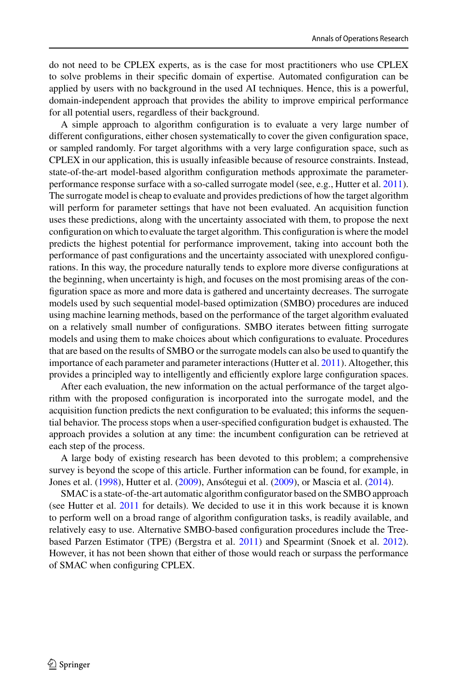do not need to be CPLEX experts, as is the case for most practitioners who use CPLEX to solve problems in their specific domain of expertise. Automated configuration can be applied by users with no background in the used AI techniques. Hence, this is a powerful, domain-independent approach that provides the ability to improve empirical performance for all potential users, regardless of their background.

A simple approach to algorithm configuration is to evaluate a very large number of different configurations, either chosen systematically to cover the given configuration space, or sampled randomly. For target algorithms with a very large configuration space, such as CPLEX in our application, this is usually infeasible because of resource constraints. Instead, state-of-the-art model-based algorithm configuration methods approximate the parameterperformance response surface with a so-called surrogate model (see, e.g., Hutter et al. [2011\)](#page-20-10). The surrogate model is cheap to evaluate and provides predictions of how the target algorithm will perform for parameter settings that have not been evaluated. An acquisition function uses these predictions, along with the uncertainty associated with them, to propose the next configuration on which to evaluate the target algorithm. This configuration is where the model predicts the highest potential for performance improvement, taking into account both the performance of past configurations and the uncertainty associated with unexplored configurations. In this way, the procedure naturally tends to explore more diverse configurations at the beginning, when uncertainty is high, and focuses on the most promising areas of the configuration space as more and more data is gathered and uncertainty decreases. The surrogate models used by such sequential model-based optimization (SMBO) procedures are induced using machine learning methods, based on the performance of the target algorithm evaluated on a relatively small number of configurations. SMBO iterates between fitting surrogate models and using them to make choices about which configurations to evaluate. Procedures that are based on the results of SMBO or the surrogate models can also be used to quantify the importance of each parameter and parameter interactions (Hutter et al. [2011\)](#page-20-10). Altogether, this provides a principled way to intelligently and efficiently explore large configuration spaces.

After each evaluation, the new information on the actual performance of the target algorithm with the proposed configuration is incorporated into the surrogate model, and the acquisition function predicts the next configuration to be evaluated; this informs the sequential behavior. The process stops when a user-specified configuration budget is exhausted. The approach provides a solution at any time: the incumbent configuration can be retrieved at each step of the process.

A large body of existing research has been devoted to this problem; a comprehensive survey is beyond the scope of this article. Further information can be found, for example, in Jones et al. [\(1998\)](#page-20-14), Hutter et al. [\(2009\)](#page-20-15), Ansótegui et al. [\(2009\)](#page-20-16), or Mascia et al. [\(2014\)](#page-21-10).

SMAC is a state-of-the-art automatic algorithm configurator based on the SMBO approach (see Hutter et al. [2011](#page-20-10) for details). We decided to use it in this work because it is known to perform well on a broad range of algorithm configuration tasks, is readily available, and relatively easy to use. Alternative SMBO-based configuration procedures include the Treebased Parzen Estimator (TPE) (Bergstra et al. [2011\)](#page-20-17) and Spearmint (Snoek et al. [2012\)](#page-21-11). However, it has not been shown that either of those would reach or surpass the performance of SMAC when configuring CPLEX.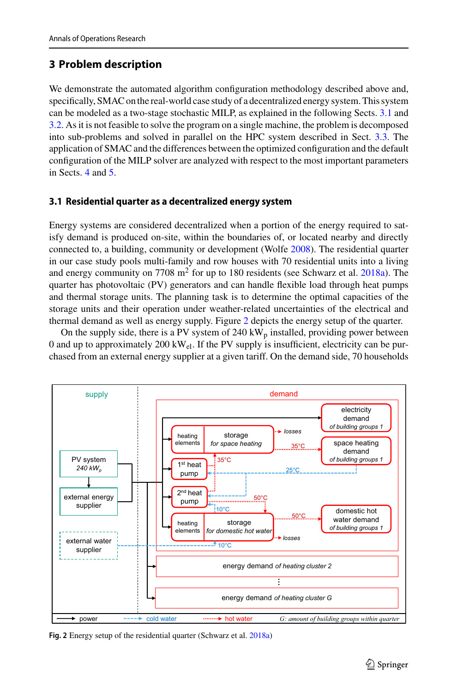# <span id="page-4-0"></span>**3 Problem description**

We demonstrate the automated algorithm configuration methodology described above and, specifically, SMAC on the real-world case study of a decentralized energy system. This system can be modeled as a two-stage stochastic MILP, as explained in the following Sects. [3.1](#page-4-1) and [3.2.](#page-5-0) As it is not feasible to solve the program on a single machine, the problem is decomposed into sub-problems and solved in parallel on the HPC system described in Sect. [3.3.](#page-6-0) The application of SMAC and the differences between the optimized configuration and the default configuration of the MILP solver are analyzed with respect to the most important parameters in Sects. [4](#page-7-0) and [5.](#page-8-0)

## <span id="page-4-1"></span>**3.1 Residential quarter as a decentralized energy system**

Energy systems are considered decentralized when a portion of the energy required to satisfy demand is produced on-site, within the boundaries of, or located nearby and directly connected to, a building, community or development (Wolfe [2008\)](#page-21-12). The residential quarter in our case study pools multi-family and row houses with 70 residential units into a living and energy community on 7708 m<sup>2</sup> for up to 180 residents (see Schwarz et al. [2018a\)](#page-21-7). The quarter has photovoltaic (PV) generators and can handle flexible load through heat pumps and thermal storage units. The planning task is to determine the optimal capacities of the storage units and their operation under weather-related uncertainties of the electrical and thermal demand as well as energy supply. Figure [2](#page-4-2) depicts the energy setup of the quarter.

On the supply side, there is a PV system of 240 kW<sub>p</sub> installed, providing power between 0 and up to approximately 200 kW<sub>el</sub>. If the PV supply is insufficient, electricity can be purchased from an external energy supplier at a given tariff. On the demand side, 70 households



<span id="page-4-2"></span>**Fig. 2** Energy setup of the residential quarter (Schwarz et al. [2018a\)](#page-21-7)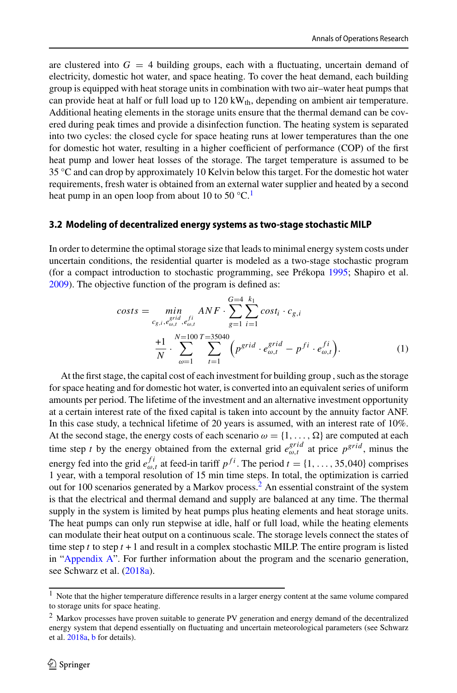are clustered into  $G = 4$  building groups, each with a fluctuating, uncertain demand of electricity, domestic hot water, and space heating. To cover the heat demand, each building group is equipped with heat storage units in combination with two air–water heat pumps that can provide heat at half or full load up to  $120 \text{ kW}_{th}$ , depending on ambient air temperature. Additional heating elements in the storage units ensure that the thermal demand can be covered during peak times and provide a disinfection function. The heating system is separated into two cycles: the closed cycle for space heating runs at lower temperatures than the one for domestic hot water, resulting in a higher coefficient of performance (COP) of the first heat pump and lower heat losses of the storage. The target temperature is assumed to be 35 °C and can drop by approximately 10 Kelvin below this target. For the domestic hot water requirements, fresh water is obtained from an external water supplier and heated by a second heat pump in an open loop from about 10 to 50  $^{\circ}$ C.<sup>1</sup>

#### <span id="page-5-0"></span>**3.2 Modeling of decentralized energy systems as two-stage stochastic MILP**

In order to determine the optimal storage size that leads to minimal energy system costs under uncertain conditions, the residential quarter is modeled as a two-stage stochastic program (for a compact introduction to stochastic programming, see Prékopa [1995;](#page-21-13) Shapiro et al. [2009\)](#page-21-14). The objective function of the program is defined as:

$$
costs = \min_{\substack{c_{g,i}, e_{\omega,t}^{grid}, e_{\omega,t}^{fi} \\ N}} ANF \cdot \sum_{g=1}^{G=4} \sum_{i=1}^{k_1} cost_i \cdot c_{g,i}
$$

$$
\frac{+1}{N} \cdot \sum_{\omega=1}^{N=100} \sum_{t=1}^{T=35040} \left( p^{grid} \cdot e_{\omega,t}^{grid} - p^{fi} \cdot e_{\omega,t}^{fi} \right). \tag{1}
$$

At the first stage, the capital cost of each investment for building group , such as the storage for space heating and for domestic hot water, is converted into an equivalent series of uniform amounts per period. The lifetime of the investment and an alternative investment opportunity at a certain interest rate of the fixed capital is taken into account by the annuity factor ANF. In this case study, a technical lifetime of 20 years is assumed, with an interest rate of 10%. At the second stage, the energy costs of each scenario  $\omega = \{1, \dots, \Omega\}$  are computed at each time step *t* by the energy obtained from the external grid  $e_{\omega,t}^{grid}$  at price  $p^{grid}$ , minus the energy fed into the grid  $e_{\omega,t}^{fi}$  at feed-in tariff  $p^{fi}$ . The period  $t = \{1, \ldots, 35,040\}$  comprises 1 year, with a temporal resolution of 15 min time steps. In total, the optimization is carried out for 100 scenarios generated by a Markov process[.2](#page-5-2) An essential constraint of the system is that the electrical and thermal demand and supply are balanced at any time. The thermal supply in the system is limited by heat pumps plus heating elements and heat storage units. The heat pumps can only run stepwise at idle, half or full load, while the heating elements can modulate their heat output on a continuous scale. The storage levels connect the states of time step  $t$  to step  $t + 1$  and result in a complex stochastic MILP. The entire program is listed in ["Appendix A"](#page-14-1). For further information about the program and the scenario generation, see Schwarz et al. [\(2018a\)](#page-21-7).

<span id="page-5-1"></span><sup>&</sup>lt;sup>1</sup> Note that the higher temperature difference results in a larger energy content at the same volume compared to storage units for space heating.

<span id="page-5-2"></span><sup>2</sup> Markov processes have proven suitable to generate PV generation and energy demand of the decentralized energy system that depend essentially on fluctuating and uncertain meteorological parameters (see Schwarz et al. [2018a,](#page-21-7) [b](#page-21-3) for details).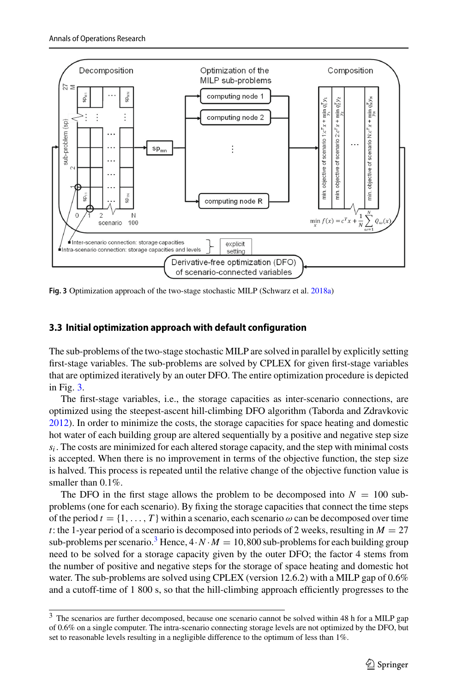

<span id="page-6-1"></span>**Fig. 3** Optimization approach of the two-stage stochastic MILP (Schwarz et al. [2018a\)](#page-21-7)

#### <span id="page-6-0"></span>**3.3 Initial optimization approach with default configuration**

The sub-problems of the two-stage stochastic MILP are solved in parallel by explicitly setting first-stage variables. The sub-problems are solved by CPLEX for given first-stage variables that are optimized iteratively by an outer DFO. The entire optimization procedure is depicted in Fig. [3.](#page-6-1)

The first-stage variables, i.e., the storage capacities as inter-scenario connections, are optimized using the steepest-ascent hill-climbing DFO algorithm (Taborda and Zdravkovic [2012\)](#page-21-15). In order to minimize the costs, the storage capacities for space heating and domestic hot water of each building group are altered sequentially by a positive and negative step size  $s_i$ . The costs are minimized for each altered storage capacity, and the step with minimal costs is accepted. When there is no improvement in terms of the objective function, the step size is halved. This process is repeated until the relative change of the objective function value is smaller than 0.1%.

The DFO in the first stage allows the problem to be decomposed into  $N = 100$  subproblems (one for each scenario). By fixing the storage capacities that connect the time steps of the period  $t = \{1, ..., T\}$  within a scenario, each scenario  $\omega$  can be decomposed over time *t*: the 1-year period of a scenario is decomposed into periods of 2 weeks, resulting in  $M = 27$ sub-problems per scenario.<sup>[3](#page-6-2)</sup> Hence,  $4 \cdot N \cdot M = 10,800$  sub-problems for each building group need to be solved for a storage capacity given by the outer DFO; the factor 4 stems from the number of positive and negative steps for the storage of space heating and domestic hot water. The sub-problems are solved using CPLEX (version 12.6.2) with a MILP gap of 0.6% and a cutoff-time of 1 800 s, so that the hill-climbing approach efficiently progresses to the

<span id="page-6-2"></span><sup>3</sup> The scenarios are further decomposed, because one scenario cannot be solved within 48 h for a MILP gap of 0.6% on a single computer. The intra-scenario connecting storage levels are not optimized by the DFO, but set to reasonable levels resulting in a negligible difference to the optimum of less than 1%.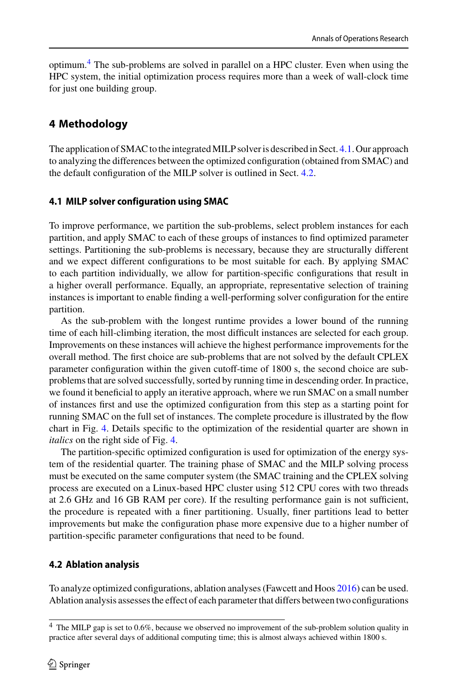optimum.[4](#page-7-1) The sub-problems are solved in parallel on a HPC cluster. Even when using the HPC system, the initial optimization process requires more than a week of wall-clock time for just one building group.

# <span id="page-7-0"></span>**4 Methodology**

The application of SMAC to the integrated MILP solver is described in Sect. [4.1.](#page-7-2) Our approach to analyzing the differences between the optimized configuration (obtained from SMAC) and the default configuration of the MILP solver is outlined in Sect. [4.2.](#page-7-3)

## <span id="page-7-2"></span>**4.1 MILP solver configuration using SMAC**

To improve performance, we partition the sub-problems, select problem instances for each partition, and apply SMAC to each of these groups of instances to find optimized parameter settings. Partitioning the sub-problems is necessary, because they are structurally different and we expect different configurations to be most suitable for each. By applying SMAC to each partition individually, we allow for partition-specific configurations that result in a higher overall performance. Equally, an appropriate, representative selection of training instances is important to enable finding a well-performing solver configuration for the entire partition.

As the sub-problem with the longest runtime provides a lower bound of the running time of each hill-climbing iteration, the most difficult instances are selected for each group. Improvements on these instances will achieve the highest performance improvements for the overall method. The first choice are sub-problems that are not solved by the default CPLEX parameter configuration within the given cutoff-time of 1800 s, the second choice are subproblems that are solved successfully, sorted by running time in descending order. In practice, we found it beneficial to apply an iterative approach, where we run SMAC on a small number of instances first and use the optimized configuration from this step as a starting point for running SMAC on the full set of instances. The complete procedure is illustrated by the flow chart in Fig. [4.](#page-8-1) Details specific to the optimization of the residential quarter are shown in *italics* on the right side of Fig. [4.](#page-8-1)

The partition-specific optimized configuration is used for optimization of the energy system of the residential quarter. The training phase of SMAC and the MILP solving process must be executed on the same computer system (the SMAC training and the CPLEX solving process are executed on a Linux-based HPC cluster using 512 CPU cores with two threads at 2.6 GHz and 16 GB RAM per core). If the resulting performance gain is not sufficient, the procedure is repeated with a finer partitioning. Usually, finer partitions lead to better improvements but make the configuration phase more expensive due to a higher number of partition-specific parameter configurations that need to be found.

## <span id="page-7-3"></span>**4.2 Ablation analysis**

To analyze optimized configurations, ablation analyses (Fawcett and Hoos [2016\)](#page-20-18) can be used. Ablation analysis assesses the effect of each parameter that differs between two configurations

<span id="page-7-1"></span><sup>4</sup> The MILP gap is set to 0.6%, because we observed no improvement of the sub-problem solution quality in practice after several days of additional computing time; this is almost always achieved within 1800 s.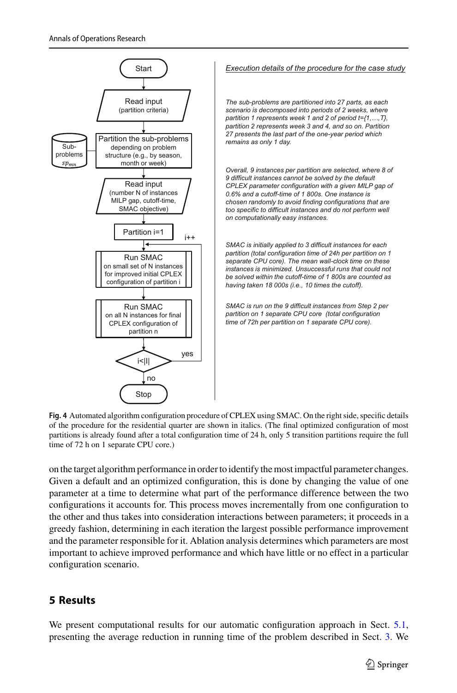



*Execution details of the procedure for the case study*

<span id="page-8-1"></span>**Fig. 4** Automated algorithm configuration procedure of CPLEX using SMAC. On the right side, specific details of the procedure for the residential quarter are shown in italics. (The final optimized configuration of most partitions is already found after a total configuration time of 24 h, only 5 transition partitions require the full time of 72 h on 1 separate CPU core.)

on the target algorithm performance in order to identify the most impactful parameter changes. Given a default and an optimized configuration, this is done by changing the value of one parameter at a time to determine what part of the performance difference between the two configurations it accounts for. This process moves incrementally from one configuration to the other and thus takes into consideration interactions between parameters; it proceeds in a greedy fashion, determining in each iteration the largest possible performance improvement and the parameter responsible for it. Ablation analysis determines which parameters are most important to achieve improved performance and which have little or no effect in a particular configuration scenario.

# <span id="page-8-0"></span>**5 Results**

We present computational results for our automatic configuration approach in Sect. [5.1,](#page-9-0) presenting the average reduction in running time of the problem described in Sect. [3.](#page-4-0) We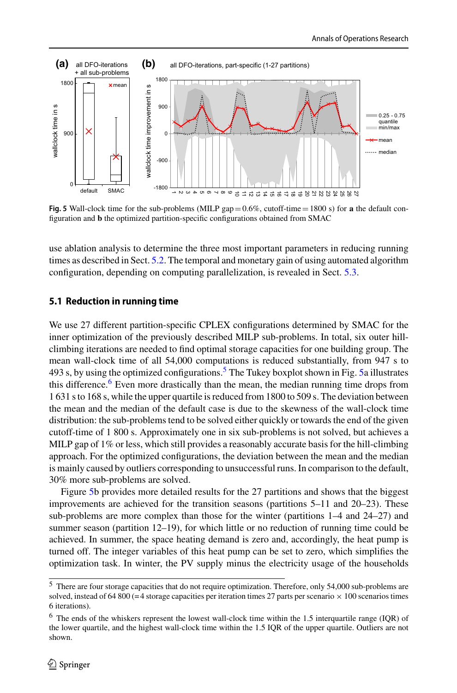

<span id="page-9-2"></span>**Fig. 5** Wall-clock time for the sub-problems (MILP gap  $= 0.6\%$ , cutoff-time  $= 1800$  s) for **a** the default configuration and **b** the optimized partition-specific configurations obtained from SMAC

use ablation analysis to determine the three most important parameters in reducing running times as described in Sect. [5.2.](#page-10-0) The temporal and monetary gain of using automated algorithm configuration, depending on computing parallelization, is revealed in Sect. [5.3.](#page-12-0)

#### <span id="page-9-0"></span>**5.1 Reduction in running time**

We use 27 different partition-specific CPLEX configurations determined by SMAC for the inner optimization of the previously described MILP sub-problems. In total, six outer hillclimbing iterations are needed to find optimal storage capacities for one building group. The mean wall-clock time of all 54,000 computations is reduced substantially, from 947 s to 493 s, by using the optimized configurations.<sup>[5](#page-9-1)</sup> The Tukey boxplot shown in Fig. [5a](#page-9-2) illustrates this difference.<sup>6</sup> Even more drastically than the mean, the median running time drops from 1 631 s to 168 s, while the upper quartile is reduced from 1800 to 509 s. The deviation between the mean and the median of the default case is due to the skewness of the wall-clock time distribution: the sub-problems tend to be solved either quickly or towards the end of the given cutoff-time of 1 800 s. Approximately one in six sub-problems is not solved, but achieves a MILP gap of 1% or less, which still provides a reasonably accurate basis for the hill-climbing approach. For the optimized configurations, the deviation between the mean and the median is mainly caused by outliers corresponding to unsuccessful runs. In comparison to the default, 30% more sub-problems are solved.

Figure [5b](#page-9-2) provides more detailed results for the 27 partitions and shows that the biggest improvements are achieved for the transition seasons (partitions 5–11 and 20–23). These sub-problems are more complex than those for the winter (partitions 1–4 and 24–27) and summer season (partition 12–19), for which little or no reduction of running time could be achieved. In summer, the space heating demand is zero and, accordingly, the heat pump is turned off. The integer variables of this heat pump can be set to zero, which simplifies the optimization task. In winter, the PV supply minus the electricity usage of the households

<span id="page-9-1"></span><sup>5</sup> There are four storage capacities that do not require optimization. Therefore, only 54,000 sub-problems are solved, instead of 64 800 (= 4 storage capacities per iteration times 27 parts per scenario  $\times$  100 scenarios times 6 iterations).

<span id="page-9-3"></span><sup>6</sup> The ends of the whiskers represent the lowest wall-clock time within the 1.5 interquartile range (IQR) of the lower quartile, and the highest wall-clock time within the 1.5 IQR of the upper quartile. Outliers are not shown.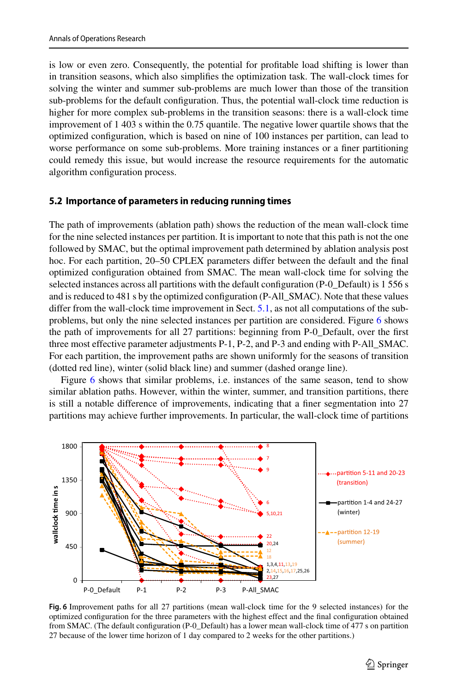is low or even zero. Consequently, the potential for profitable load shifting is lower than in transition seasons, which also simplifies the optimization task. The wall-clock times for solving the winter and summer sub-problems are much lower than those of the transition sub-problems for the default configuration. Thus, the potential wall-clock time reduction is higher for more complex sub-problems in the transition seasons: there is a wall-clock time improvement of 1 403 s within the 0.75 quantile. The negative lower quartile shows that the optimized configuration, which is based on nine of 100 instances per partition, can lead to worse performance on some sub-problems. More training instances or a finer partitioning could remedy this issue, but would increase the resource requirements for the automatic algorithm configuration process.

#### <span id="page-10-0"></span>**5.2 Importance of parameters in reducing running times**

The path of improvements (ablation path) shows the reduction of the mean wall-clock time for the nine selected instances per partition. It is important to note that this path is not the one followed by SMAC, but the optimal improvement path determined by ablation analysis post hoc. For each partition, 20–50 CPLEX parameters differ between the default and the final optimized configuration obtained from SMAC. The mean wall-clock time for solving the selected instances across all partitions with the default configuration (P-0\_Default) is 1 556 s and is reduced to 481 s by the optimized configuration (P-All\_SMAC). Note that these values differ from the wall-clock time improvement in Sect. [5.1,](#page-9-0) as not all computations of the subproblems, but only the nine selected instances per partition are considered. Figure [6](#page-10-1) shows the path of improvements for all 27 partitions: beginning from P-0\_Default, over the first three most effective parameter adjustments P-1, P-2, and P-3 and ending with P-All\_SMAC. For each partition, the improvement paths are shown uniformly for the seasons of transition (dotted red line), winter (solid black line) and summer (dashed orange line).

Figure [6](#page-10-1) shows that similar problems, i.e. instances of the same season, tend to show similar ablation paths. However, within the winter, summer, and transition partitions, there is still a notable difference of improvements, indicating that a finer segmentation into 27 partitions may achieve further improvements. In particular, the wall-clock time of partitions



<span id="page-10-1"></span>**Fig. 6** Improvement paths for all 27 partitions (mean wall-clock time for the 9 selected instances) for the optimized configuration for the three parameters with the highest effect and the final configuration obtained from SMAC. (The default configuration (P-0\_Default) has a lower mean wall-clock time of 477 s on partition 27 because of the lower time horizon of 1 day compared to 2 weeks for the other partitions.)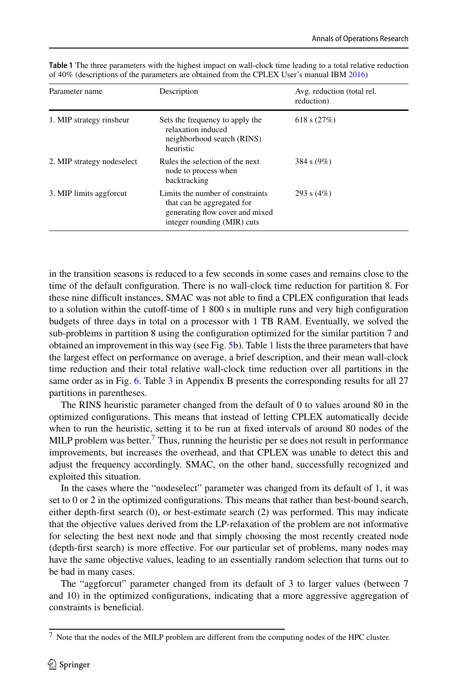| Parameter name             | Description                                                                                                                      | Avg. reduction (total rel.<br>reduction) |
|----------------------------|----------------------------------------------------------------------------------------------------------------------------------|------------------------------------------|
| 1. MIP strategy rinsheur   | Sets the frequency to apply the<br>relaxation induced<br>neighborhood search (RINS)<br>heuristic                                 | 618 s $(27%)$                            |
| 2. MIP strategy nodeselect | Rules the selection of the next<br>node to process when<br>backtracking                                                          | 384 s $(9\%)$                            |
| 3. MIP limits aggforcut    | Limits the number of constraints<br>that can be aggregated for<br>generating flow cover and mixed<br>integer rounding (MIR) cuts | 293 s $(4%)$                             |

<span id="page-11-0"></span>**Table 1** The three parameters with the highest impact on wall-clock time leading to a total relative reduction of 40% (descriptions of the parameters are obtained from the CPLEX User's manual IBM [2016\)](#page-20-19)

in the transition seasons is reduced to a few seconds in some cases and remains close to the time of the default configuration. There is no wall-clock time reduction for partition 8. For these nine difficult instances, SMAC was not able to find a CPLEX configuration that leads to a solution within the cutoff-time of 1 800 s in multiple runs and very high configuration budgets of three days in total on a processor with 1 TB RAM. Eventually, we solved the sub-problems in partition 8 using the configuration optimized for the similar partition 7 and obtained an improvement in this way (see Fig. [5b](#page-9-2)). Table [1](#page-11-0) lists the three parameters that have the largest effect on performance on average, a brief description, and their mean wall-clock time reduction and their total relative wall-clock time reduction over all partitions in the same order as in Fig. [6.](#page-10-1) Table [3](#page-18-0) in Appendix B presents the corresponding results for all 27 partitions in parentheses.

The RINS heuristic parameter changed from the default of 0 to values around 80 in the optimized configurations. This means that instead of letting CPLEX automatically decide when to run the heuristic, setting it to be run at fixed intervals of around 80 nodes of the MILP problem was better.<sup>7</sup> Thus, running the heuristic per se does not result in performance improvements, but increases the overhead, and that CPLEX was unable to detect this and adjust the frequency accordingly. SMAC, on the other hand, successfully recognized and exploited this situation.

In the cases where the "nodeselect" parameter was changed from its default of 1, it was set to 0 or 2 in the optimized configurations. This means that rather than best-bound search, either depth-first search (0), or best-estimate search (2) was performed. This may indicate that the objective values derived from the LP-relaxation of the problem are not informative for selecting the best next node and that simply choosing the most recently created node (depth-first search) is more effective. For our particular set of problems, many nodes may have the same objective values, leading to an essentially random selection that turns out to be bad in many cases.

The "aggforcut" parameter changed from its default of 3 to larger values (between 7 and 10) in the optimized configurations, indicating that a more aggressive aggregation of constraints is beneficial.

<span id="page-11-1"></span><sup>7</sup> Note that the nodes of the MILP problem are different from the computing nodes of the HPC cluster.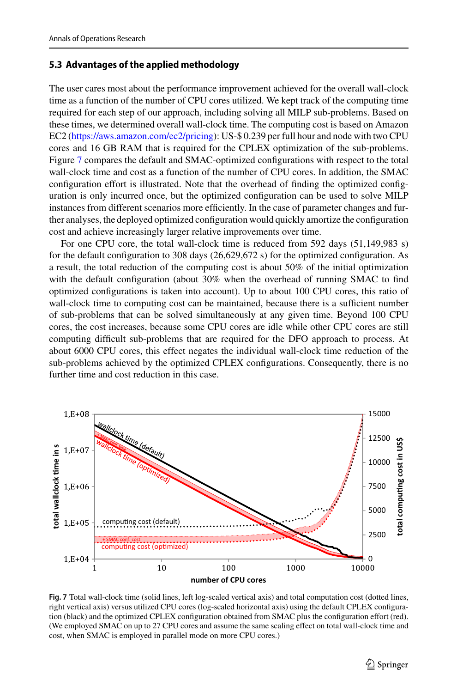#### <span id="page-12-0"></span>**5.3 Advantages of the applied methodology**

The user cares most about the performance improvement achieved for the overall wall-clock time as a function of the number of CPU cores utilized. We kept track of the computing time required for each step of our approach, including solving all MILP sub-problems. Based on these times, we determined overall wall-clock time. The computing cost is based on Amazon EC2 [\(https://aws.amazon.com/ec2/pricing\)](https://aws.amazon.com/ec2/pricing): US-\$ 0.239 per full hour and node with two CPU cores and 16 GB RAM that is required for the CPLEX optimization of the sub-problems. Figure [7](#page-12-1) compares the default and SMAC-optimized configurations with respect to the total wall-clock time and cost as a function of the number of CPU cores. In addition, the SMAC configuration effort is illustrated. Note that the overhead of finding the optimized configuration is only incurred once, but the optimized configuration can be used to solve MILP instances from different scenarios more efficiently. In the case of parameter changes and further analyses, the deployed optimized configuration would quickly amortize the configuration cost and achieve increasingly larger relative improvements over time.

For one CPU core, the total wall-clock time is reduced from 592 days (51,149,983 s) for the default configuration to 308 days (26,629,672 s) for the optimized configuration. As a result, the total reduction of the computing cost is about 50% of the initial optimization with the default configuration (about 30% when the overhead of running SMAC to find optimized configurations is taken into account). Up to about 100 CPU cores, this ratio of wall-clock time to computing cost can be maintained, because there is a sufficient number of sub-problems that can be solved simultaneously at any given time. Beyond 100 CPU cores, the cost increases, because some CPU cores are idle while other CPU cores are still computing difficult sub-problems that are required for the DFO approach to process. At about 6000 CPU cores, this effect negates the individual wall-clock time reduction of the sub-problems achieved by the optimized CPLEX configurations. Consequently, there is no further time and cost reduction in this case.



<span id="page-12-1"></span>**Fig. 7** Total wall-clock time (solid lines, left log-scaled vertical axis) and total computation cost (dotted lines, right vertical axis) versus utilized CPU cores (log-scaled horizontal axis) using the default CPLEX configuration (black) and the optimized CPLEX configuration obtained from SMAC plus the configuration effort (red). (We employed SMAC on up to 27 CPU cores and assume the same scaling effect on total wall-clock time and cost, when SMAC is employed in parallel mode on more CPU cores.)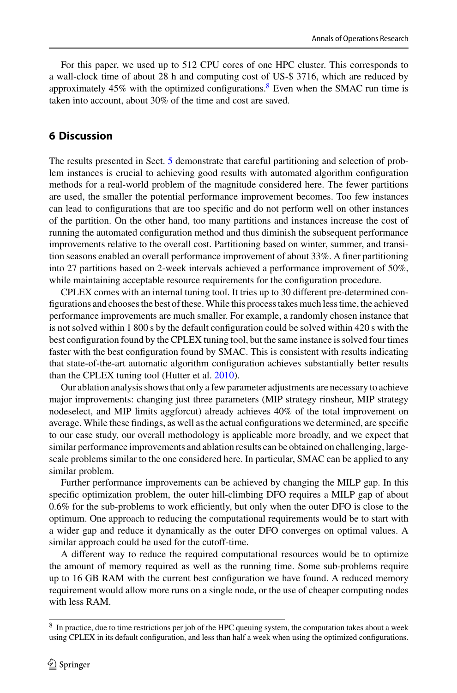For this paper, we used up to 512 CPU cores of one HPC cluster. This corresponds to a wall-clock time of about 28 h and computing cost of US-\$ 3716, which are reduced by approximately  $45\%$  with the optimized configurations.<sup>8</sup> Even when the SMAC run time is taken into account, about 30% of the time and cost are saved.

# <span id="page-13-0"></span>**6 Discussion**

The results presented in Sect. [5](#page-8-0) demonstrate that careful partitioning and selection of problem instances is crucial to achieving good results with automated algorithm configuration methods for a real-world problem of the magnitude considered here. The fewer partitions are used, the smaller the potential performance improvement becomes. Too few instances can lead to configurations that are too specific and do not perform well on other instances of the partition. On the other hand, too many partitions and instances increase the cost of running the automated configuration method and thus diminish the subsequent performance improvements relative to the overall cost. Partitioning based on winter, summer, and transition seasons enabled an overall performance improvement of about 33%. A finer partitioning into 27 partitions based on 2-week intervals achieved a performance improvement of 50%, while maintaining acceptable resource requirements for the configuration procedure.

CPLEX comes with an internal tuning tool. It tries up to 30 different pre-determined configurations and chooses the best of these.While this process takes much less time, the achieved performance improvements are much smaller. For example, a randomly chosen instance that is not solved within 1 800 s by the default configuration could be solved within 420 s with the best configuration found by the CPLEX tuning tool, but the same instance is solved four times faster with the best configuration found by SMAC. This is consistent with results indicating that state-of-the-art automatic algorithm configuration achieves substantially better results than the CPLEX tuning tool (Hutter et al. [2010\)](#page-20-9).

Our ablation analysis shows that only a few parameter adjustments are necessary to achieve major improvements: changing just three parameters (MIP strategy rinsheur, MIP strategy nodeselect, and MIP limits aggforcut) already achieves 40% of the total improvement on average. While these findings, as well as the actual configurations we determined, are specific to our case study, our overall methodology is applicable more broadly, and we expect that similar performance improvements and ablation results can be obtained on challenging, largescale problems similar to the one considered here. In particular, SMAC can be applied to any similar problem.

Further performance improvements can be achieved by changing the MILP gap. In this specific optimization problem, the outer hill-climbing DFO requires a MILP gap of about 0.6% for the sub-problems to work efficiently, but only when the outer DFO is close to the optimum. One approach to reducing the computational requirements would be to start with a wider gap and reduce it dynamically as the outer DFO converges on optimal values. A similar approach could be used for the cutoff-time.

A different way to reduce the required computational resources would be to optimize the amount of memory required as well as the running time. Some sub-problems require up to 16 GB RAM with the current best configuration we have found. A reduced memory requirement would allow more runs on a single node, or the use of cheaper computing nodes with less RAM.

<span id="page-13-1"></span><sup>&</sup>lt;sup>8</sup> In practice, due to time restrictions per job of the HPC queuing system, the computation takes about a week using CPLEX in its default configuration, and less than half a week when using the optimized configurations.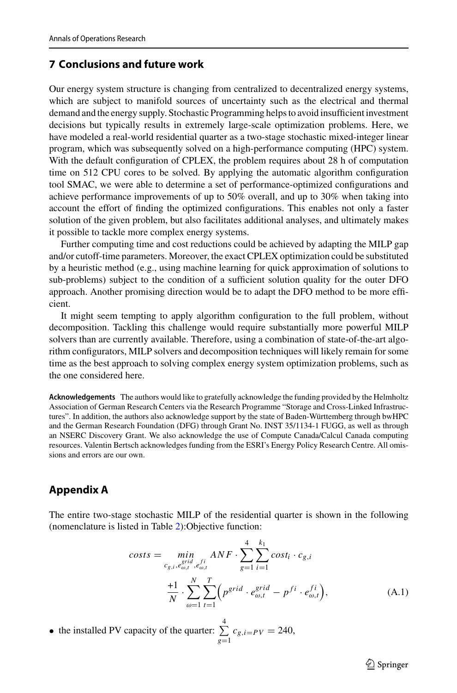# <span id="page-14-0"></span>**7 Conclusions and future work**

Our energy system structure is changing from centralized to decentralized energy systems, which are subject to manifold sources of uncertainty such as the electrical and thermal demand and the energy supply. Stochastic Programming helps to avoid insufficient investment decisions but typically results in extremely large-scale optimization problems. Here, we have modeled a real-world residential quarter as a two-stage stochastic mixed-integer linear program, which was subsequently solved on a high-performance computing (HPC) system. With the default configuration of CPLEX, the problem requires about 28 h of computation time on 512 CPU cores to be solved. By applying the automatic algorithm configuration tool SMAC, we were able to determine a set of performance-optimized configurations and achieve performance improvements of up to 50% overall, and up to 30% when taking into account the effort of finding the optimized configurations. This enables not only a faster solution of the given problem, but also facilitates additional analyses, and ultimately makes it possible to tackle more complex energy systems.

Further computing time and cost reductions could be achieved by adapting the MILP gap and/or cutoff-time parameters. Moreover, the exact CPLEX optimization could be substituted by a heuristic method (e.g., using machine learning for quick approximation of solutions to sub-problems) subject to the condition of a sufficient solution quality for the outer DFO approach. Another promising direction would be to adapt the DFO method to be more efficient.

It might seem tempting to apply algorithm configuration to the full problem, without decomposition. Tackling this challenge would require substantially more powerful MILP solvers than are currently available. Therefore, using a combination of state-of-the-art algorithm configurators, MILP solvers and decomposition techniques will likely remain for some time as the best approach to solving complex energy system optimization problems, such as the one considered here.

**Acknowledgements** The authors would like to gratefully acknowledge the funding provided by the Helmholtz Association of German Research Centers via the Research Programme "Storage and Cross-Linked Infrastructures". In addition, the authors also acknowledge support by the state of Baden-Württemberg through bwHPC and the German Research Foundation (DFG) through Grant No. INST 35/1134-1 FUGG, as well as through an NSERC Discovery Grant. We also acknowledge the use of Compute Canada/Calcul Canada computing resources. Valentin Bertsch acknowledges funding from the ESRI's Energy Policy Research Centre. All omissions and errors are our own.

# <span id="page-14-1"></span>**Appendix A**

The entire two-stage stochastic MILP of the residential quarter is shown in the following (nomenclature is listed in Table [2\)](#page-15-0):Objective function:

$$
costs = \min_{c_{g,i}, e_{\omega,t}^{grid}, e_{\omega,t}^{fi}} ANF \cdot \sum_{g=1}^{4} \sum_{i=1}^{k_1} cost_i \cdot c_{g,i}
$$

$$
\frac{+1}{N} \cdot \sum_{\omega=1}^{N} \sum_{t=1}^{T} \left( p^{grid} \cdot e_{\omega,t}^{grid} - p^{fi} \cdot e_{\omega,t}^{fi} \right), \tag{A.1}
$$

• the installed PV capacity of the quarter:  $\sum_{n=1}^{4}$  $\sum_{g=1} c_{g,i=PV} = 240,$ 

 $\hat{\mathfrak{D}}$  Springer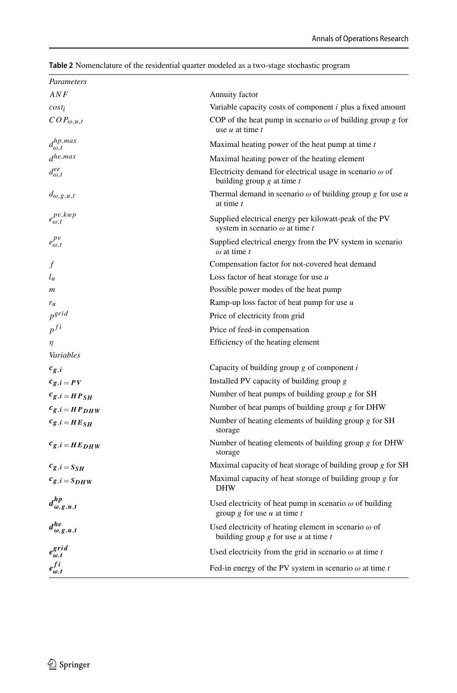<span id="page-15-0"></span>

| Parameters                 |                                                                                                       |
|----------------------------|-------------------------------------------------------------------------------------------------------|
| ANF                        | Annuity factor                                                                                        |
| $cost_i$                   | Variable capacity costs of component i plus a fixed amount                                            |
| $COP_{\omega,u,t}$         | COP of the heat pump in scenario $\omega$ of building group g for<br>use $u$ at time $t$              |
| $d_{\omega,t}^{hp,max}$    | Maximal heating power of the heat pump at time t                                                      |
| $d^{he,max}$               | Maximal heating power of the heating element                                                          |
| $d_{\omega,t}^{ee}$        | Electricity demand for electrical usage in scenario $\omega$ of<br>building group g at time $t$       |
| $d_{\omega, g, u, t}$      | Thermal demand in scenario $\omega$ of building group g for use u<br>at time t                        |
| $e_{\omega,t}^{pv,kwp}$    | Supplied electrical energy per kilowatt-peak of the PV<br>system in scenario $\omega$ at time t       |
| $e_{\omega,t}^{pv}$        | Supplied electrical energy from the PV system in scenario<br>$\omega$ at time t                       |
| f                          | Compensation factor for not-covered heat demand                                                       |
| $l_{\mu}$                  | Loss factor of heat storage for use $u$                                                               |
| $\boldsymbol{m}$           | Possible power modes of the heat pump                                                                 |
| $r_u$                      | Ramp-up loss factor of heat pump for use $u$                                                          |
| $p^{grid}$                 | Price of electricity from grid                                                                        |
| $p^{fi}$                   | Price of feed-in compensation                                                                         |
| η                          | Efficiency of the heating element                                                                     |
| Variables                  |                                                                                                       |
| $c_{g,i}$                  | Capacity of building group $g$ of component $i$                                                       |
| $c_{g,i} = PV$             | Installed PV capacity of building group $g$                                                           |
| $c_{g,i} = H P_{SH}$       | Number of heat pumps of building group $g$ for SH                                                     |
| $c_{g,i} = H P_{DHW}$      | Number of heat pumps of building group $g$ for DHW                                                    |
| $c_{g,i} = HE_{SH}$        | Number of heating elements of building group $g$ for SH<br>storage                                    |
| $c_{g,i} = HE_{DHW}$       | Number of heating elements of building group $g$ for DHW<br>storage                                   |
| $c_{g,i} = S_{SH}$         | Maximal capacity of heat storage of building group $g$ for SH                                         |
| $c_{g,i} = S_{DHW}$        | Maximal capacity of heat storage of building group $g$ for<br><b>DHW</b>                              |
| $d_{\omega, g, u, t}^{hp}$ | Used electricity of heat pump in scenario $\omega$ of building<br>group g for use $u$ at time $t$     |
| $d_{\omega, g, u, t}^{he}$ | Used electricity of heating element in scenario $\omega$ of<br>building group g for use $u$ at time t |
| $e_{\omega,t}^{grid}$      | Used electricity from the grid in scenario $\omega$ at time t                                         |
| $e_{\omega,t}^{fi}$        | Fed-in energy of the PV system in scenario $\omega$ at time t                                         |

**Table 2** Nomenclature of the residential quarter modeled as a two-stage stochastic program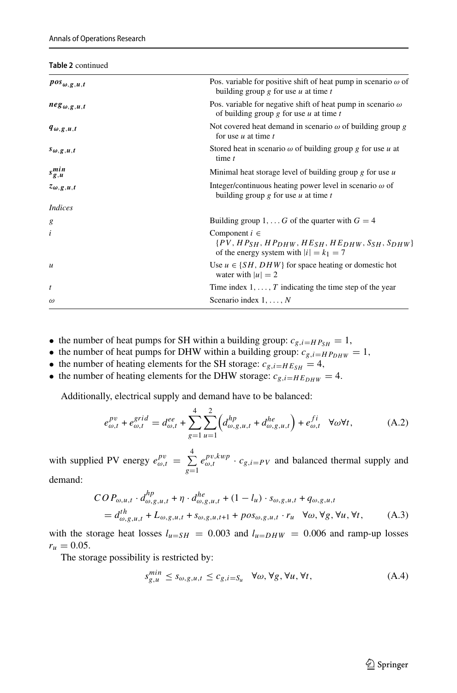| <b>Table 2 continued</b> |  |
|--------------------------|--|
|--------------------------|--|

| $pos_{\omega, g, u, t}$ | Pos. variable for positive shift of heat pump in scenario $\omega$ of<br>building group g for use $u$ at time t              |
|-------------------------|------------------------------------------------------------------------------------------------------------------------------|
| $neg_{\omega, g, u, t}$ | Pos. variable for negative shift of heat pump in scenario $\omega$<br>of building group g for use $u$ at time t              |
| $q_{\omega, g, u, t}$   | Not covered heat demand in scenario $\omega$ of building group g<br>for use $u$ at time $t$                                  |
| $s_{\omega, g, u, t}$   | Stored heat in scenario $\omega$ of building group g for use u at<br>time $t$                                                |
| $s_{g,u}^{min}$         | Minimal heat storage level of building group g for use $\mu$                                                                 |
| $z_{\omega, g, u, t}$   | Integer/continuous heating power level in scenario $\omega$ of<br>building group g for use $u$ at time t                     |
| <i>Indices</i>          |                                                                                                                              |
| g                       | Building group 1,  G of the quarter with $G = 4$                                                                             |
| i                       | Component $i \in$<br>$\{PV, HP_{SH},HP_{DHW},HE_{SH},HE_{DHW},S_{SH},S_{DHW}\}$<br>of the energy system with $ i  = k_1 = 7$ |
| $\boldsymbol{u}$        | Use $u \in \{SH, DHW\}$ for space heating or domestic hot<br>water with $ u  = 2$                                            |
| t                       | Time index $1, \ldots, T$ indicating the time step of the year                                                               |
| $\omega$                | Scenario index $1, \ldots, N$                                                                                                |
|                         |                                                                                                                              |

- the number of heat pumps for SH within a building group:  $c_{g,i=HP_{SH}} = 1$ ,
- the number of heat pumps for DHW within a building group:  $c_{g,i=HP_{DHW}} = 1$ ,
- the number of heating elements for the SH storage:  $c_{g,i=HESH} = 4$ ,
- the number of heating elements for the DHW storage:  $c_{g,i=HEDHW} = 4$ .

Additionally, electrical supply and demand have to be balanced:

$$
e_{\omega,t}^{pv} + e_{\omega,t}^{grid} = d_{\omega,t}^{ee} + \sum_{g=1}^{4} \sum_{u=1}^{2} \left( d_{\omega,g,u,t}^{hp} + d_{\omega,g,u,t}^{he} \right) + e_{\omega,t}^{fi} \quad \forall \omega \forall t,
$$
 (A.2)

with supplied PV energy  $e_{\omega,t}^{pv} = \sum_{n=1}^{4}$  $g=1$  $e_{\omega,t}^{pv,kwp} \cdot c_{g,i=PV}$  and balanced thermal supply and demand:

$$
COP_{\omega,u,t} \cdot d_{\omega,g,u,t}^{hp} + \eta \cdot d_{\omega,g,u,t}^{he} + (1 - l_u) \cdot s_{\omega,g,u,t} + q_{\omega,g,u,t}
$$
  
= 
$$
d_{\omega,g,u,t}^{th} + L_{\omega,g,u,t} + s_{\omega,g,u,t+1} + pos_{\omega,g,u,t} \cdot r_u \quad \forall \omega, \forall g, \forall u, \forall t,
$$
 (A.3)

with the storage heat losses  $l_{u=SH} = 0.003$  and  $l_{u=DHW} = 0.006$  and ramp-up losses  $r_u = 0.05$ .

The storage possibility is restricted by:

$$
s_{g,u}^{min} \le s_{\omega,g,u,t} \le c_{g,i=S_u} \quad \forall \omega, \forall g, \forall u, \forall t,
$$
\n(A.4)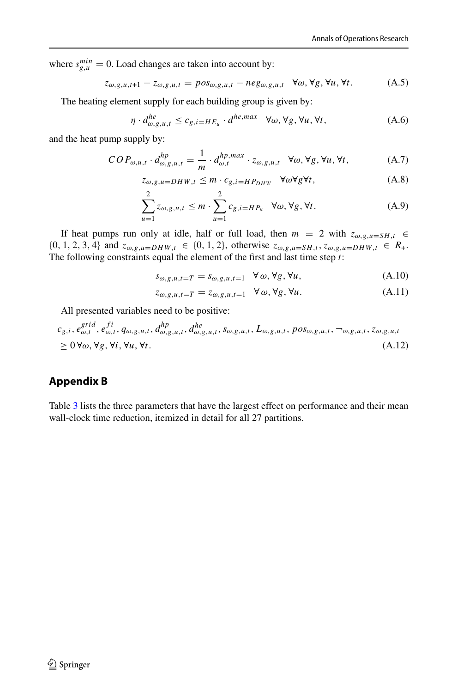where  $s_{g,u}^{min} = 0$ . Load changes are taken into account by:

$$
z_{\omega,g,u,t+1} - z_{\omega,g,u,t} = pos_{\omega,g,u,t} - neg_{\omega,g,u,t} \quad \forall \omega, \forall g, \forall u, \forall t.
$$
 (A.5)

The heating element supply for each building group is given by:

$$
\eta \cdot d_{\omega, g, u, t}^{he} \le c_{g, i=HE_u} \cdot d^{he, max} \quad \forall \omega, \forall g, \forall u, \forall t,
$$
\n(A.6)

and the heat pump supply by:

$$
COP_{\omega,u,t} \cdot d_{\omega,g,u,t}^{hp} = \frac{1}{m} \cdot d_{\omega,t}^{hp,max} \cdot z_{\omega,g,u,t} \quad \forall \omega, \forall g, \forall u, \forall t,
$$
 (A.7)

$$
z_{\omega,g,u=DHW,t} \le m \cdot c_{g,i=HP_{DHW}} \quad \forall \omega \forall g \forall t,
$$
\n(A.8)

$$
\sum_{u=1}^{2} z_{\omega, g, u, t} \le m \cdot \sum_{u=1}^{2} c_{g, i=HP_u} \quad \forall \omega, \forall g, \forall t.
$$
 (A.9)

If heat pumps run only at idle, half or full load, then  $m = 2$  with  $z_{\omega, g, u = SH, t}$  $\{0, 1, 2, 3, 4\}$  and  $z_{\omega, g, u = DHW, t \in \{0, 1, 2\}$ , otherwise  $z_{\omega, g, u = SH, t}, z_{\omega, g, u = DHW, t \in R_+$ . The following constraints equal the element of the first and last time step *t*:

$$
s_{\omega,g,u,t=T} = s_{\omega,g,u,t=1} \quad \forall \omega, \forall g, \forall u,
$$
\n(A.10)

$$
z_{\omega,g,u,t=T} = z_{\omega,g,u,t=1} \quad \forall \omega, \forall g, \forall u.
$$
\n(A.11)

All presented variables need to be positive:

$$
c_{g,i}, e_{\omega,t}^{grid}, e_{\omega,t}^{fi}, q_{\omega,g,u,t}, d_{\omega,g,u,t}^{hp}, d_{\omega,g,u,t}^{he}, s_{\omega,g,u,t}, L_{\omega,g,u,t}, pos_{\omega,g,u,t}, \neg_{\omega,g,u,t}, z_{\omega,g,u,t} \ge 0 \forall \omega, \forall g, \forall i, \forall u, \forall t.
$$
\n(A.12)

## **Appendix B**

Table [3](#page-18-0) lists the three parameters that have the largest effect on performance and their mean wall-clock time reduction, itemized in detail for all 27 partitions.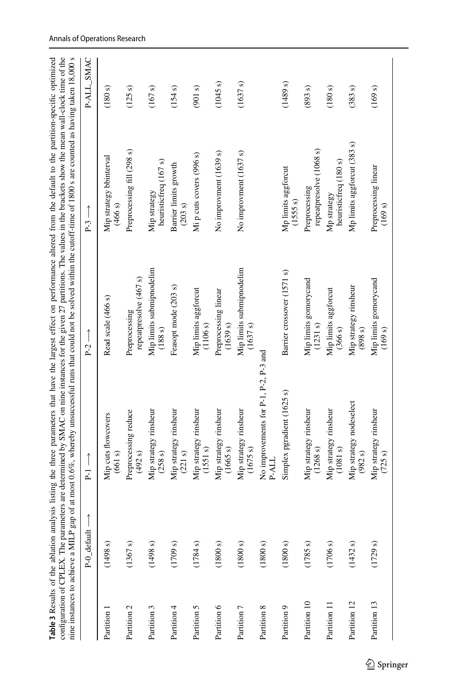<span id="page-18-0"></span>

|              |                  | nine instances to achieve a MLP gap of at most 0.6%, whereby unsuccessful runs that could not be solved within the cutoff-time of 1800 s are counted as having taken 18,000 s<br>configuration of CPLEX. The parameters are determined by SMAC on nine instances for the given 27 partitions. The values in the brackets show the mean wall-clock time of the |                                         | Table 3 Results of the ablation analysis listing the three parameters that have the largest effect on performance altered from the default to the partition-specific optimized |            |
|--------------|------------------|---------------------------------------------------------------------------------------------------------------------------------------------------------------------------------------------------------------------------------------------------------------------------------------------------------------------------------------------------------------|-----------------------------------------|--------------------------------------------------------------------------------------------------------------------------------------------------------------------------------|------------|
|              | ↑<br>P-0_default | ↑<br>군                                                                                                                                                                                                                                                                                                                                                        | $P-2 \rightarrow$                       | ↑<br>ը<br>-                                                                                                                                                                    | P-ALL_SMAC |
| Partition 1  | (1498 s)         | Mip cuts flowcovers<br>(661 s)                                                                                                                                                                                                                                                                                                                                | Read scale (466 s)                      | Mip strategy bbinterval<br>(466 s)                                                                                                                                             | (180 s)    |
| Partition 2  | (1367 s)         | Preprocessing reduce<br>(492 s)                                                                                                                                                                                                                                                                                                                               | repeatpresolve (467 s)<br>Preprocessing | Preprocessing fill (298 s)                                                                                                                                                     | (125 s)    |
| Partition 3  | (1498 s)         | Mip strategy rinsheur<br>(258 s)                                                                                                                                                                                                                                                                                                                              | Mip limits submipnodelim<br>(188 s)     | heuristicfreq (167 s)<br>Mip strategy                                                                                                                                          | (167 s)    |
| Partition 4  | (1709 s)         | Mip strategy rinsheur<br>(221 s)                                                                                                                                                                                                                                                                                                                              | Feasopt mode (203 s)                    | Barrier limits growth<br>(203 s)                                                                                                                                               | (154 s)    |
| Partition 5  | (1784 s)         | Mip strategy rinsheur<br>(1551 s)                                                                                                                                                                                                                                                                                                                             | Mip limits aggforcut<br>(1106 s)        | Mi p cuts covers (996 s)                                                                                                                                                       | (901 s)    |
| Partition 6  | (1800 s)         | Mip strategy rinsheur<br>(1665 s)                                                                                                                                                                                                                                                                                                                             | Preprocessing linear<br>(1639 s)        | No improvment (1639 s)                                                                                                                                                         | (1045 s)   |
| Partition 7  | (1800 s)         | Mip strategy rinsheur<br>(1675 s)                                                                                                                                                                                                                                                                                                                             | Mip limits submipnodelim<br>(1637 s)    | No improvment (1637 s)                                                                                                                                                         | (1637 s)   |
| Partition 8  | (1800 s)         | No improvements for P-1, P-2, P-3 and<br>LALI                                                                                                                                                                                                                                                                                                                 |                                         |                                                                                                                                                                                |            |
| Partition 9  | $(1800 s)$       | Simplex pgradient (1625 s)                                                                                                                                                                                                                                                                                                                                    | Barrier crossover (1571 s)              | Mp limits aggforcut<br>(155s)                                                                                                                                                  | (1489 s)   |
| Partition 10 | (1785 s)         | Mip strategy rinsheur<br>(1268 s)                                                                                                                                                                                                                                                                                                                             | Mip limits gomorycand<br>(1231 s)       | repeatpresolve (1068 s)<br>Preprocessing                                                                                                                                       | (893 s)    |
| Partition 11 | (1706 s)         | Mip strategy rinsheur<br>(1081 s)                                                                                                                                                                                                                                                                                                                             | Mip limits aggforcut<br>(366 s)         | heuristicfreq (180 s)<br>Mp strategy                                                                                                                                           | (180 s)    |
| Partition 12 | (1432 s)         | Mip strategy nodeselect<br>(982 s)                                                                                                                                                                                                                                                                                                                            | Mip strategy rinsheur<br>(898 s)        | Mp limits aggforcut (383 s)                                                                                                                                                    | (383 s)    |
| Partition 13 | (1729 s)         | Mip strategy rinsheur<br>(725 s)                                                                                                                                                                                                                                                                                                                              | Mip limits gomorycand<br>(169 s)        | Preprocessing linear<br>(169 s)                                                                                                                                                | (169 s)    |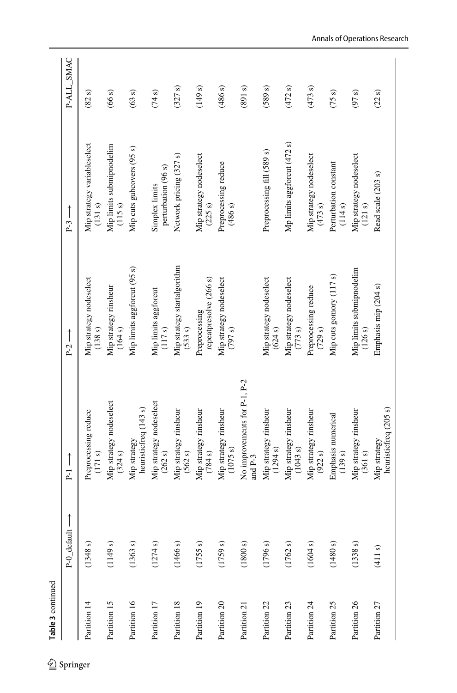| Table 3 continued |                  |                                         |                                         |                                        |            |
|-------------------|------------------|-----------------------------------------|-----------------------------------------|----------------------------------------|------------|
|                   | ᠰ<br>P-0_default | 1<br>$\overline{2}$                     | 1<br>$\overline{5}$                     | ↑<br>P-3                               | P-ALL_SMAC |
| Partition 14      | (1348 s)         | Preprocessing reduce<br>(171 s)         | Mip strategy nodeselect<br>(138 s)      | Mip strategy variableselect<br>(131 s) | (82 s)     |
| Partition 15      | $(1149 s)$       | Mip strategy nodeselect<br>(324 s)      | Mip strategy rinsheur<br>(164 s)        | Mip limits submipnodelim<br>(115 s)    | (66 s)     |
| Partition 16      | $(1363 s)$       | heuristicfreq (143 s)<br>Mip strategy   | Mip limits aggforcut (95 s)             | Mip cuts gubcovers (95 s)              | (63 s)     |
| Partition 17      | (1274 s)         | Mip strategy nodeselect<br>(262 s)      | Mip limits aggforcut<br>(117 s)         | perturbation (96 s)<br>Simplex limits  | (74 s)     |
| Partition 18      | (1466 s)         | Mip strategy rinsheur<br>(562 s)        | Mip strategy startalgorithm<br>(533 s)  | Network pricing (327 s)                | (327 s)    |
| Partition 19      | (1755 s)         | Mip strategy rinsheur<br>(784 s)        | repeatpresolve (266 s)<br>Preprocessing | Mip strategy nodeselect<br>(225 s)     | (149 s)    |
| Partition 20      | (1759 s)         | Mip strategy rinsheur<br>(1075 s)       | Mip strategy nodeselect<br>(797 s)      | Preprocessing reduce<br>(486 s)        | (486 s)    |
| Partition 21      | (1800 s)         | No improvements for P-1, P-2<br>and P-3 |                                         |                                        | (891 s)    |
| Partition 22      | (1796 s)         | Mip strategy rinsheur<br>(1294 s)       | Mip strategy nodeselect<br>(624 s)      | Preprocessing fill (589 s)             | (589 s)    |
| Partition 23      | (1762 s)         | Mip strategy rinsheur<br>(1043 s)       | Mip strategy nodeselect<br>(773 s)      | Mp limits aggforcut (472 s)            | (472 s)    |
| Partition 24      | $(1604 s)$       | Mip strategy rinsheur<br>(922 s)        | Preprocessing reduce<br>(729 s)         | Mip strategy nodeselect<br>(473 s)     | (473 s)    |
| Partition 25      | (1480 s)         | Emphasis numerical<br>(139 s)           | Mip cuts gomory (117 s)                 | Perturbation constant<br>(114 s)       | (75 s)     |
| Partition 26      | (1338 s)         | Mip strategy rinsheur<br>(361 s)        | Mip limits submipnodelim<br>(126 s)     | Mip strategy nodeselect<br>$(121 s)$   | (97 s)     |
| Partition 27      | (411 s)          | heuristicfreq (205 s)<br>Mip strategy   | Emphasis mip (204 s)                    | Read scale (203 s)                     | (22 s)     |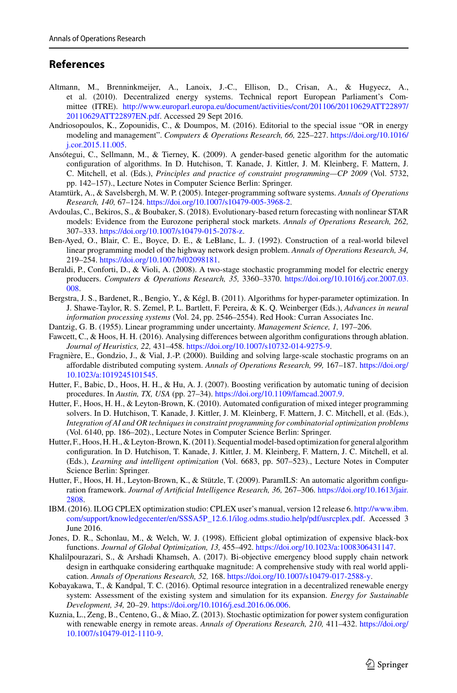## **References**

- <span id="page-20-0"></span>Altmann, M., Brenninkmeijer, A., Lanoix, J.-C., Ellison, D., Crisan, A., & Hugyecz, A., et al. (2010). Decentralized energy systems. Technical report European Parliament's Committee (ITRE). [http://www.europarl.europa.eu/document/activities/cont/201106/20110629ATT22897/](http://www.europarl.europa.eu/document/activities/cont/201106/20110629ATT22897/20110629ATT22897EN.pdf) 20110629ATT22897EN.pdf. Accessed 29 Sept 2016.
- <span id="page-20-2"></span>Andriosopoulos, K., Zopounidis, C., & Doumpos, M. (2016). Editorial to the special issue "OR in energy modeling and management". *[Computers & Operations Research, 66,](https://doi.org/10.1016/j.cor.2015.11.005)* 225–227. https://doi.org/10.1016/ j.cor.2015.11.005.
- <span id="page-20-16"></span>Ansótegui, C., Sellmann, M., & Tierney, K. (2009). A gender-based genetic algorithm for the automatic configuration of algorithms. In D. Hutchison, T. Kanade, J. Kittler, J. M. Kleinberg, F. Mattern, J. C. Mitchell, et al. (Eds.), *Principles and practice of constraint programming—CP 2009* (Vol. 5732, pp. 142–157)., Lecture Notes in Computer Science Berlin: Springer.
- <span id="page-20-12"></span>Atamtürk, A., & Savelsbergh, M. W. P. (2005). Integer-programming software systems. *Annals of Operations Research, 140,* 67–124. [https://doi.org/10.1007/s10479-005-3968-2.](https://doi.org/10.1007/s10479-005-3968-2)
- <span id="page-20-11"></span>Avdoulas, C., Bekiros, S., & Boubaker, S. (2018). Evolutionary-based return forecasting with nonlinear STAR models: Evidence from the Eurozone peripheral stock markets. *Annals of Operations Research, 262,* 307–333. [https://doi.org/10.1007/s10479-015-2078-z.](https://doi.org/10.1007/s10479-015-2078-z)
- <span id="page-20-7"></span>Ben-Ayed, O., Blair, C. E., Boyce, D. E., & LeBlanc, L. J. (1992). Construction of a real-world bilevel linear programming model of the highway network design problem. *Annals of Operations Research, 34,* 219–254. [https://doi.org/10.1007/bf02098181.](https://doi.org/10.1007/bf02098181)
- <span id="page-20-4"></span>Beraldi, P., Conforti, D., & Violi, A. (2008). A two-stage stochastic programming model for electric energy producers. *[Computers & Operations Research, 35,](https://doi.org/10.1016/j.cor.2007.03.008)* 3360–3370. https://doi.org/10.1016/j.cor.2007.03. 008.
- <span id="page-20-17"></span>Bergstra, J. S., Bardenet, R., Bengio, Y., & Kégl, B. (2011). Algorithms for hyper-parameter optimization. In J. Shawe-Taylor, R. S. Zemel, P. L. Bartlett, F. Pereira, & K. Q. Weinberger (Eds.), *Advances in neural information processing systems* (Vol. 24, pp. 2546–2554). Red Hook: Curran Associates Inc.
- <span id="page-20-3"></span>Dantzig, G. B. (1955). Linear programming under uncertainty. *Management Science, 1,* 197–206.
- <span id="page-20-18"></span>Fawcett, C., & Hoos, H. H. (2016). Analysing differences between algorithm configurations through ablation. *Journal of Heuristics, 22,* 431–458. [https://doi.org/10.1007/s10732-014-9275-9.](https://doi.org/10.1007/s10732-014-9275-9)
- <span id="page-20-6"></span>Fragnière, E., Gondzio, J., & Vial, J.-P. (2000). Building and solving large-scale stochastic programs on an [affordable distributed computing system.](https://doi.org/10.1023/a:1019245101545) *Annals of Operations Research, 99,* 167–187. https://doi.org/ 10.1023/a:1019245101545.
- <span id="page-20-13"></span>Hutter, F., Babic, D., Hoos, H. H., & Hu, A. J. (2007). Boosting verification by automatic tuning of decision procedures. In *Austin, TX, USA* (pp. 27–34). [https://doi.org/10.1109/famcad.2007.9.](https://doi.org/10.1109/famcad.2007.9)
- <span id="page-20-9"></span>Hutter, F., Hoos, H. H., & Leyton-Brown, K. (2010). Automated configuration of mixed integer programming solvers. In D. Hutchison, T. Kanade, J. Kittler, J. M. Kleinberg, F. Mattern, J. C. Mitchell, et al. (Eds.), *Integration of AI and OR techniques in constraint programming for combinatorial optimization problems* (Vol. 6140, pp. 186–202)., Lecture Notes in Computer Science Berlin: Springer.
- <span id="page-20-10"></span>Hutter, F., Hoos, H. H., & Leyton-Brown, K. (2011). Sequential model-based optimization for general algorithm configuration. In D. Hutchison, T. Kanade, J. Kittler, J. M. Kleinberg, F. Mattern, J. C. Mitchell, et al. (Eds.), *Learning and intelligent optimization* (Vol. 6683, pp. 507–523)., Lecture Notes in Computer Science Berlin: Springer.
- <span id="page-20-15"></span>Hutter, F., Hoos, H. H., Leyton-Brown, K., & Stützle, T. (2009). ParamILS: An automatic algorithm configuration framework. *[Journal of Artificial Intelligence Research, 36,](https://doi.org/10.1613/jair.2808)* 267–306. https://doi.org/10.1613/jair. 2808
- <span id="page-20-19"></span>IBM. (2016). ILOG CPLEX optimization studio: CPLEX user's manual, version 12 release 6. http://www.ibm. [com/support/knowledgecenter/en/SSSA5P\\_12.6.1/ilog.odms.studio.help/pdf/usrcplex.pdf. Accessed 3](http://www.ibm.com/support/knowledgecenter/en/SSSA5P_12.6.1/ilog.odms.studio.help/pdf/usrcplex.pdf) June 2016.
- <span id="page-20-14"></span>Jones, D. R., Schonlau, M., & Welch, W. J. (1998). Efficient global optimization of expensive black-box functions. *Journal of Global Optimization, 13,* 455–492. [https://doi.org/10.1023/a:1008306431147.](https://doi.org/10.1023/a:1008306431147)
- <span id="page-20-8"></span>Khalilpourazari, S., & Arshadi Khamseh, A. (2017). Bi-objective emergency blood supply chain network design in earthquake considering earthquake magnitude: A comprehensive study with real world application. *Annals of Operations Research, 52,* 168. [https://doi.org/10.1007/s10479-017-2588-y.](https://doi.org/10.1007/s10479-017-2588-y)
- <span id="page-20-1"></span>Kobayakawa, T., & Kandpal, T. C. (2016). Optimal resource integration in a decentralized renewable energy system: Assessment of the existing system and simulation for its expansion. *Energy for Sustainable Development, 34,* 20–29. [https://doi.org/10.1016/j.esd.2016.06.006.](https://doi.org/10.1016/j.esd.2016.06.006)
- <span id="page-20-5"></span>Kuznia, L., Zeng, B., Centeno, G., & Miao, Z. (2013). Stochastic optimization for power system configuration [with renewable energy in remote areas.](https://doi.org/10.1007/s10479-012-1110-9) *Annals of Operations Research, 210,* 411–432. https://doi.org/ 10.1007/s10479-012-1110-9.